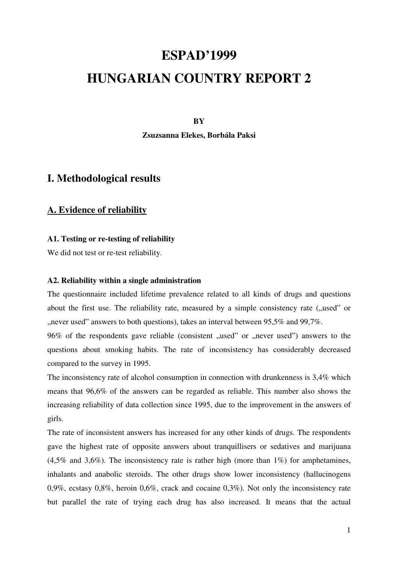# **ESPAD'1999**

# **HUNGARIAN COUNTRY REPORT 2**

#### **BY**

**Zsuzsanna Elekes, Borbála Paksi** 

### **I. Methodological results**

### **A. Evidence of reliability**

### **A1. Testing or re-testing of reliability**

We did not test or re-test reliability.

#### **A2. Reliability within a single administration**

The questionnaire included lifetime prevalence related to all kinds of drugs and questions about the first use. The reliability rate, measured by a simple consistency rate ("used" or ", never used" answers to both questions), takes an interval between  $95,5\%$  and  $99,7\%$ .

 $96\%$  of the respondents gave reliable (consistent  $\mu$ used" or  $\mu$ never used") answers to the questions about smoking habits. The rate of inconsistency has considerably decreased compared to the survey in 1995.

The inconsistency rate of alcohol consumption in connection with drunkenness is 3,4% which means that 96,6% of the answers can be regarded as reliable. This number also shows the increasing reliability of data collection since 1995, due to the improvement in the answers of girls.

The rate of inconsistent answers has increased for any other kinds of drugs. The respondents gave the highest rate of opposite answers about tranquillisers or sedatives and marijuana  $(4.5\%$  and  $3.6\%)$ . The inconsistency rate is rather high (more than  $1\%$ ) for amphetamines, inhalants and anabolic steroids. The other drugs show lower inconsistency (hallucinogens 0,9%, ecstasy 0,8%, heroin 0,6%, crack and cocaine 0,3%). Not only the inconsistency rate but parallel the rate of trying each drug has also increased. It means that the actual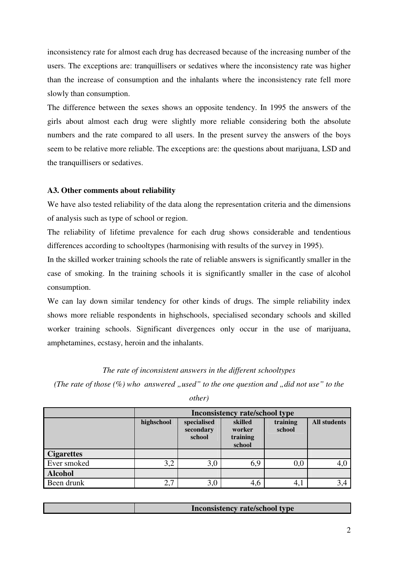inconsistency rate for almost each drug has decreased because of the increasing number of the users. The exceptions are: tranquillisers or sedatives where the inconsistency rate was higher than the increase of consumption and the inhalants where the inconsistency rate fell more slowly than consumption.

The difference between the sexes shows an opposite tendency. In 1995 the answers of the girls about almost each drug were slightly more reliable considering both the absolute numbers and the rate compared to all users. In the present survey the answers of the boys seem to be relative more reliable. The exceptions are: the questions about marijuana, LSD and the tranquillisers or sedatives.

### **A3. Other comments about reliability**

We have also tested reliability of the data along the representation criteria and the dimensions of analysis such as type of school or region.

The reliability of lifetime prevalence for each drug shows considerable and tendentious differences according to schooltypes (harmonising with results of the survey in 1995).

In the skilled worker training schools the rate of reliable answers is significantly smaller in the case of smoking. In the training schools it is significantly smaller in the case of alcohol consumption.

We can lay down similar tendency for other kinds of drugs. The simple reliability index shows more reliable respondents in highschools, specialised secondary schools and skilled worker training schools. Significant divergences only occur in the use of marijuana, amphetamines, ecstasy, heroin and the inhalants.

### *The rate of inconsistent answers in the different schooltypes*

*(The rate of those*  $(\%)$  *who answered ", used" to the one question and "did not use" to the* 

*other)* 

|                   | <b>Inconsistency rate/school type</b> |                                    |                                         |                    |                     |  |
|-------------------|---------------------------------------|------------------------------------|-----------------------------------------|--------------------|---------------------|--|
|                   | highschool                            | specialised<br>secondary<br>school | skilled<br>worker<br>training<br>school | training<br>school | <b>All students</b> |  |
| <b>Cigarettes</b> |                                       |                                    |                                         |                    |                     |  |
| Ever smoked       | 3,2                                   | 3,0                                | 6,9                                     | 0,0                | 4,0                 |  |
| <b>Alcohol</b>    |                                       |                                    |                                         |                    |                     |  |
| Been drunk        | 2,7                                   | 3,0                                | 4,6                                     | 4,1                | 3,4                 |  |

| <b>Inconsistency rate/school type</b> |
|---------------------------------------|
|                                       |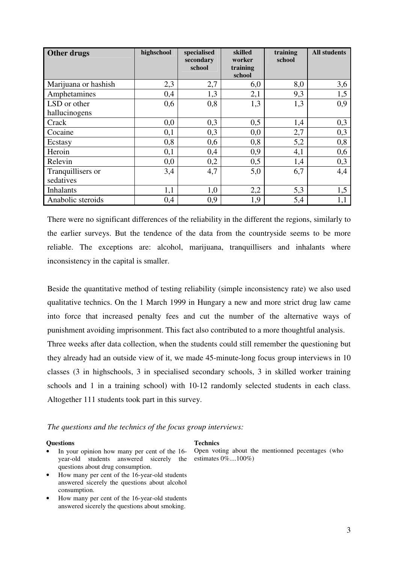| Other drugs          | highschool | specialised<br>secondary<br>school | skilled<br>worker<br>training<br>school | training<br>school | <b>All students</b> |
|----------------------|------------|------------------------------------|-----------------------------------------|--------------------|---------------------|
| Marijuana or hashish | 2,3        | 2,7                                | 6,0                                     | 8,0                | 3,6                 |
| Amphetamines         | 0,4        | 1,3                                | 2,1                                     | 9,3                | 1,5                 |
| LSD or other         | 0,6        | 0,8                                | 1,3                                     | 1,3                | 0,9                 |
| hallucinogens        |            |                                    |                                         |                    |                     |
| Crack                | 0,0        | 0,3                                | 0,5                                     | 1,4                | 0,3                 |
| Cocaine              | 0,1        | 0,3                                | 0,0                                     | 2,7                | 0,3                 |
| Ecstasy              | 0,8        | 0,6                                | 0,8                                     | 5,2                | 0,8                 |
| Heroin               | 0,1        | 0,4                                | 0,9                                     | 4,1                | 0,6                 |
| Relevin              | 0,0        | 0,2                                | 0,5                                     | 1,4                | 0,3                 |
| Tranquillisers or    | 3,4        | 4,7                                | 5,0                                     | 6,7                | 4,4                 |
| sedatives            |            |                                    |                                         |                    |                     |
| <b>Inhalants</b>     | 1,1        | 1,0                                | 2,2                                     | 5,3                | 1,5                 |
| Anabolic steroids    | 0,4        | 0,9                                | 1,9                                     | 5,4                | 1,1                 |

There were no significant differences of the reliability in the different the regions, similarly to the earlier surveys. But the tendence of the data from the countryside seems to be more reliable. The exceptions are: alcohol, marijuana, tranquillisers and inhalants where inconsistency in the capital is smaller.

Beside the quantitative method of testing reliability (simple inconsistency rate) we also used qualitative technics. On the 1 March 1999 in Hungary a new and more strict drug law came into force that increased penalty fees and cut the number of the alternative ways of punishment avoiding imprisonment. This fact also contributed to a more thoughtful analysis. Three weeks after data collection, when the students could still remember the questioning but they already had an outside view of it, we made 45-minute-long focus group interviews in 10 classes (3 in highschools, 3 in specialised secondary schools, 3 in skilled worker training schools and 1 in a training school) with 10-12 randomly selected students in each class. Altogether 111 students took part in this survey.

*The questions and the technics of the focus group interviews:* 

#### **Questions Technics**

- In your opinion how many per cent of the 16year-old students answered sicerely the estimates 0%....100%) questions about drug consumption.
- How many per cent of the 16-year-old students answered sicerely the questions about alcohol consumption.
- How many per cent of the 16-year-old students answered sicerely the questions about smoking.

Open voting about the mentionned pecentages (who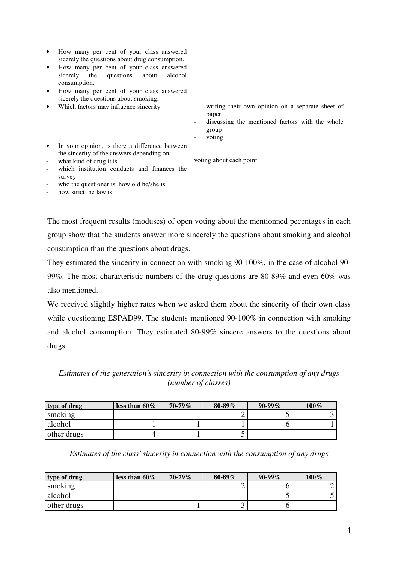- How many per cent of your class answered sicerely the questions about drug consumption.
- How many per cent of your class answered sicerely the questions about alcohol consumption.
- How many per cent of your class answered sicerely the questions about smoking.
- Which factors may influence sincerity
- writing their own opinion on a separate sheet of paper
- discussing the mentioned factors with the whole group
- voting

voting about each point

- In your opinion, is there a difference between the sincerity of the answers depending on:
- what kind of drug it is
- which institution conducts and finances the survey
- who the questioner is, how old he/she is
- how strict the law is

The most frequent results (moduses) of open voting about the mentionned pecentages in each group show that the students answer more sincerely the questions about smoking and alcohol consumption than the questions about drugs.

They estimated the sincerity in connection with smoking 90-100%, in the case of alcohol 90- 99%. The most characteristic numbers of the drug questions are 80-89% and even 60% was also mentioned.

We received slightly higher rates when we asked them about the sincerity of their own class while questioning ESPAD99. The students mentioned 90-100% in connection with smoking and alcohol consumption. They estimated 80-99% sincere answers to the questions about drugs.

*Estimates of the generation's sincerity in connection with the consumption of any drugs (number of classes)* 

| type of drug | less than $60\%$ | $70 - 79\%$ | $80 - 89\%$ | $90-99\%$ | $100\%$ |
|--------------|------------------|-------------|-------------|-----------|---------|
| smoking      |                  |             |             |           |         |
| alcohol      |                  |             |             |           |         |
| other drugs  |                  |             |             |           |         |

*Estimates of the class' sincerity in connection with the consumption of any drugs* 

| type of drug | less than $60\%$ | $70 - 79\%$ | $80 - 89\%$ | $90-99\%$ | $100\%$ |
|--------------|------------------|-------------|-------------|-----------|---------|
| smoking      |                  |             |             |           |         |
| alcohol      |                  |             |             |           |         |
| other drugs  |                  |             |             |           |         |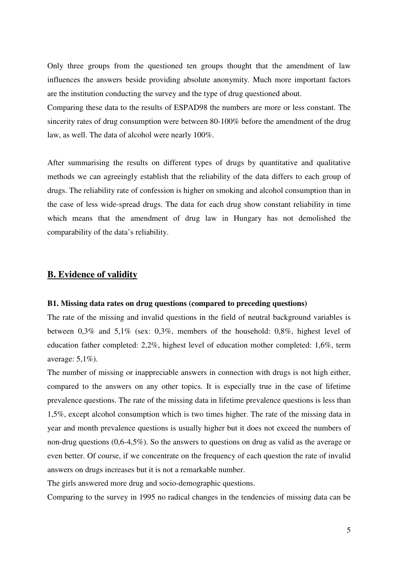Only three groups from the questioned ten groups thought that the amendment of law influences the answers beside providing absolute anonymity. Much more important factors are the institution conducting the survey and the type of drug questioned about.

Comparing these data to the results of ESPAD98 the numbers are more or less constant. The sincerity rates of drug consumption were between 80-100% before the amendment of the drug law, as well. The data of alcohol were nearly 100%.

After summarising the results on different types of drugs by quantitative and qualitative methods we can agreeingly establish that the reliability of the data differs to each group of drugs. The reliability rate of confession is higher on smoking and alcohol consumption than in the case of less wide-spread drugs. The data for each drug show constant reliability in time which means that the amendment of drug law in Hungary has not demolished the comparability of the data's reliability.

### **B. Evidence of validity**

#### **B1. Missing data rates on drug questions (compared to preceding questions)**

The rate of the missing and invalid questions in the field of neutral background variables is between 0,3% and 5,1% (sex: 0,3%, members of the household: 0,8%, highest level of education father completed: 2,2%, highest level of education mother completed: 1,6%, term average: 5,1%).

The number of missing or inappreciable answers in connection with drugs is not high either, compared to the answers on any other topics. It is especially true in the case of lifetime prevalence questions. The rate of the missing data in lifetime prevalence questions is less than 1,5%, except alcohol consumption which is two times higher. The rate of the missing data in year and month prevalence questions is usually higher but it does not exceed the numbers of non-drug questions (0,6-4,5%). So the answers to questions on drug as valid as the average or even better. Of course, if we concentrate on the frequency of each question the rate of invalid answers on drugs increases but it is not a remarkable number.

The girls answered more drug and socio-demographic questions.

Comparing to the survey in 1995 no radical changes in the tendencies of missing data can be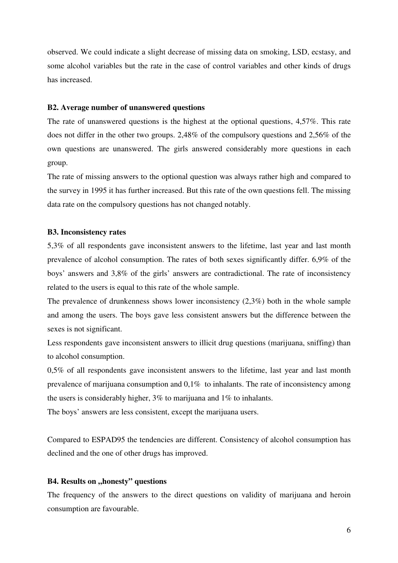observed. We could indicate a slight decrease of missing data on smoking, LSD, ecstasy, and some alcohol variables but the rate in the case of control variables and other kinds of drugs has increased.

#### **B2. Average number of unanswered questions**

The rate of unanswered questions is the highest at the optional questions, 4,57%. This rate does not differ in the other two groups. 2,48% of the compulsory questions and 2,56% of the own questions are unanswered. The girls answered considerably more questions in each group.

The rate of missing answers to the optional question was always rather high and compared to the survey in 1995 it has further increased. But this rate of the own questions fell. The missing data rate on the compulsory questions has not changed notably.

#### **B3. Inconsistency rates**

5,3% of all respondents gave inconsistent answers to the lifetime, last year and last month prevalence of alcohol consumption. The rates of both sexes significantly differ. 6,9% of the boys' answers and 3,8% of the girls' answers are contradictional. The rate of inconsistency related to the users is equal to this rate of the whole sample.

The prevalence of drunkenness shows lower inconsistency (2,3%) both in the whole sample and among the users. The boys gave less consistent answers but the difference between the sexes is not significant.

Less respondents gave inconsistent answers to illicit drug questions (marijuana, sniffing) than to alcohol consumption.

0,5% of all respondents gave inconsistent answers to the lifetime, last year and last month prevalence of marijuana consumption and 0,1% to inhalants. The rate of inconsistency among the users is considerably higher, 3% to marijuana and 1% to inhalants.

The boys' answers are less consistent, except the marijuana users.

Compared to ESPAD95 the tendencies are different. Consistency of alcohol consumption has declined and the one of other drugs has improved.

#### **B4. Results on ,, honesty" questions**

The frequency of the answers to the direct questions on validity of marijuana and heroin consumption are favourable.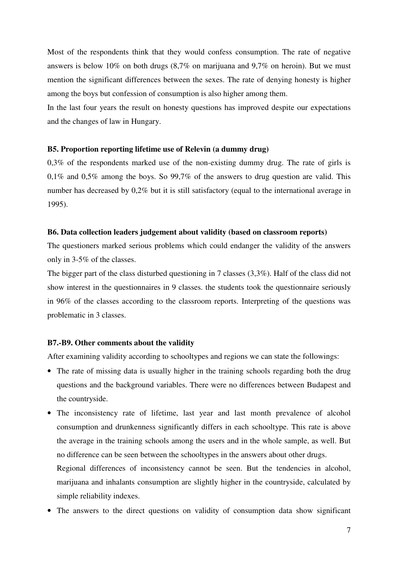Most of the respondents think that they would confess consumption. The rate of negative answers is below 10% on both drugs (8,7% on marijuana and 9,7% on heroin). But we must mention the significant differences between the sexes. The rate of denying honesty is higher among the boys but confession of consumption is also higher among them.

In the last four years the result on honesty questions has improved despite our expectations and the changes of law in Hungary.

#### **B5. Proportion reporting lifetime use of Relevin (a dummy drug)**

0,3% of the respondents marked use of the non-existing dummy drug. The rate of girls is 0,1% and 0,5% among the boys. So 99,7% of the answers to drug question are valid. This number has decreased by 0,2% but it is still satisfactory (equal to the international average in 1995).

#### **B6. Data collection leaders judgement about validity (based on classroom reports)**

The questioners marked serious problems which could endanger the validity of the answers only in 3-5% of the classes.

The bigger part of the class disturbed questioning in 7 classes (3,3%). Half of the class did not show interest in the questionnaires in 9 classes. the students took the questionnaire seriously in 96% of the classes according to the classroom reports. Interpreting of the questions was problematic in 3 classes.

#### **B7.-B9. Other comments about the validity**

After examining validity according to schooltypes and regions we can state the followings:

- The rate of missing data is usually higher in the training schools regarding both the drug questions and the background variables. There were no differences between Budapest and the countryside.
- The inconsistency rate of lifetime, last year and last month prevalence of alcohol consumption and drunkenness significantly differs in each schooltype. This rate is above the average in the training schools among the users and in the whole sample, as well. But no difference can be seen between the schooltypes in the answers about other drugs.

Regional differences of inconsistency cannot be seen. But the tendencies in alcohol, marijuana and inhalants consumption are slightly higher in the countryside, calculated by simple reliability indexes.

• The answers to the direct questions on validity of consumption data show significant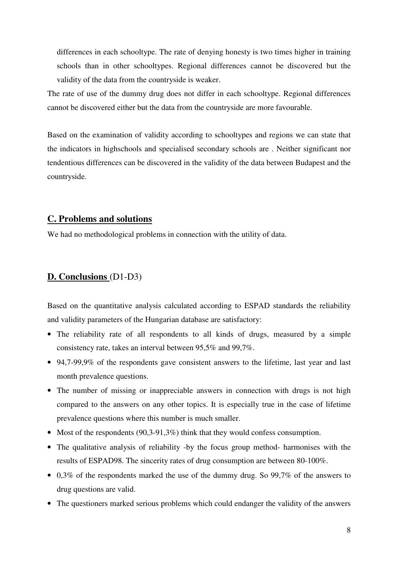differences in each schooltype. The rate of denying honesty is two times higher in training schools than in other schooltypes. Regional differences cannot be discovered but the validity of the data from the countryside is weaker.

The rate of use of the dummy drug does not differ in each schooltype. Regional differences cannot be discovered either but the data from the countryside are more favourable.

Based on the examination of validity according to schooltypes and regions we can state that the indicators in highschools and specialised secondary schools are . Neither significant nor tendentious differences can be discovered in the validity of the data between Budapest and the countryside.

### **C. Problems and solutions**

We had no methodological problems in connection with the utility of data.

### **D. Conclusions** (D1-D3)

Based on the quantitative analysis calculated according to ESPAD standards the reliability and validity parameters of the Hungarian database are satisfactory:

- The reliability rate of all respondents to all kinds of drugs, measured by a simple consistency rate, takes an interval between 95,5% and 99,7%.
- 94,7-99,9% of the respondents gave consistent answers to the lifetime, last year and last month prevalence questions.
- The number of missing or inappreciable answers in connection with drugs is not high compared to the answers on any other topics. It is especially true in the case of lifetime prevalence questions where this number is much smaller.
- Most of the respondents (90,3-91,3%) think that they would confess consumption.
- The qualitative analysis of reliability -by the focus group method- harmonises with the results of ESPAD98. The sincerity rates of drug consumption are between 80-100%.
- 0,3% of the respondents marked the use of the dummy drug. So 99,7% of the answers to drug questions are valid.
- The questioners marked serious problems which could endanger the validity of the answers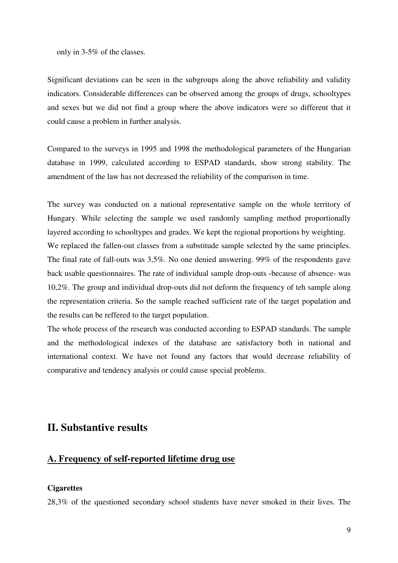only in 3-5% of the classes.

Significant deviations can be seen in the subgroups along the above reliability and validity indicators. Considerable differences can be observed among the groups of drugs, schooltypes and sexes but we did not find a group where the above indicators were so different that it could cause a problem in further analysis.

Compared to the surveys in 1995 and 1998 the methodological parameters of the Hungarian database in 1999, calculated according to ESPAD standards, show strong stability. The amendment of the law has not decreased the reliability of the comparison in time.

The survey was conducted on a national representative sample on the whole territory of Hungary. While selecting the sample we used randomly sampling method proportionally layered according to schooltypes and grades. We kept the regional proportions by weighting. We replaced the fallen-out classes from a substitude sample selected by the same principles. The final rate of fall-outs was 3,5%. No one denied answering. 99% of the respondents gave back usable questionnaires. The rate of individual sample drop-outs -because of absence- was 10,2%. The group and individual drop-outs did not deform the frequency of teh sample along the representation criteria. So the sample reached sufficient rate of the target population and the results can be reffered to the target population.

The whole process of the research was conducted according to ESPAD standards. The sample and the methodological indexes of the database are satisfactory both in national and international context. We have not found any factors that would decrease reliability of comparative and tendency analysis or could cause special problems.

### **II. Substantive results**

### **A. Frequency of self-reported lifetime drug use**

#### **Cigarettes**

28,3% of the questioned secondary school students have never smoked in their lives. The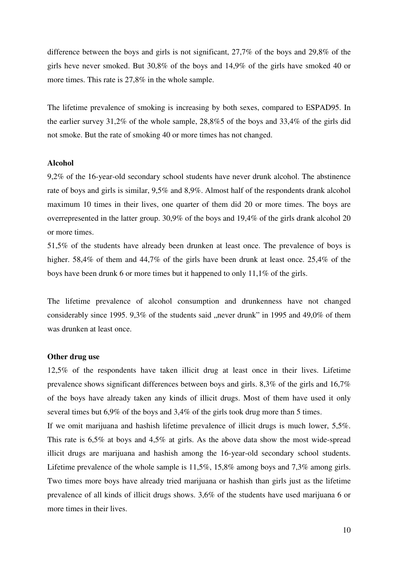difference between the boys and girls is not significant, 27,7% of the boys and 29,8% of the girls heve never smoked. But 30,8% of the boys and 14,9% of the girls have smoked 40 or more times. This rate is 27,8% in the whole sample.

The lifetime prevalence of smoking is increasing by both sexes, compared to ESPAD95. In the earlier survey 31,2% of the whole sample, 28,8%5 of the boys and 33,4% of the girls did not smoke. But the rate of smoking 40 or more times has not changed.

#### **Alcohol**

9,2% of the 16-year-old secondary school students have never drunk alcohol. The abstinence rate of boys and girls is similar, 9,5% and 8,9%. Almost half of the respondents drank alcohol maximum 10 times in their lives, one quarter of them did 20 or more times. The boys are overrepresented in the latter group. 30,9% of the boys and 19,4% of the girls drank alcohol 20 or more times.

51,5% of the students have already been drunken at least once. The prevalence of boys is higher. 58,4% of them and 44,7% of the girls have been drunk at least once. 25,4% of the boys have been drunk 6 or more times but it happened to only 11,1% of the girls.

The lifetime prevalence of alcohol consumption and drunkenness have not changed considerably since 1995. 9,3% of the students said "never drunk" in 1995 and 49,0% of them was drunken at least once.

#### **Other drug use**

12,5% of the respondents have taken illicit drug at least once in their lives. Lifetime prevalence shows significant differences between boys and girls. 8,3% of the girls and 16,7% of the boys have already taken any kinds of illicit drugs. Most of them have used it only several times but 6,9% of the boys and 3,4% of the girls took drug more than 5 times.

If we omit marijuana and hashish lifetime prevalence of illicit drugs is much lower, 5,5%. This rate is 6,5% at boys and 4,5% at girls. As the above data show the most wide-spread illicit drugs are marijuana and hashish among the 16-year-old secondary school students. Lifetime prevalence of the whole sample is 11,5%, 15,8% among boys and 7,3% among girls. Two times more boys have already tried marijuana or hashish than girls just as the lifetime prevalence of all kinds of illicit drugs shows. 3,6% of the students have used marijuana 6 or more times in their lives.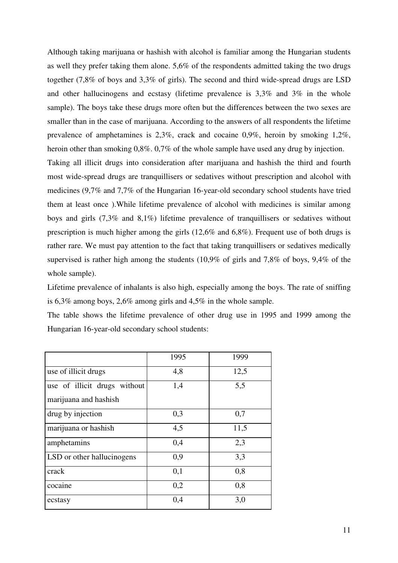Although taking marijuana or hashish with alcohol is familiar among the Hungarian students as well they prefer taking them alone. 5,6% of the respondents admitted taking the two drugs together (7,8% of boys and 3,3% of girls). The second and third wide-spread drugs are LSD and other hallucinogens and ecstasy (lifetime prevalence is 3,3% and 3% in the whole sample). The boys take these drugs more often but the differences between the two sexes are smaller than in the case of marijuana. According to the answers of all respondents the lifetime prevalence of amphetamines is 2,3%, crack and cocaine 0,9%, heroin by smoking 1,2%, heroin other than smoking 0,8%. 0,7% of the whole sample have used any drug by injection. Taking all illicit drugs into consideration after marijuana and hashish the third and fourth most wide-spread drugs are tranquillisers or sedatives without prescription and alcohol with

medicines (9,7% and 7,7% of the Hungarian 16-year-old secondary school students have tried them at least once ).While lifetime prevalence of alcohol with medicines is similar among boys and girls (7,3% and 8,1%) lifetime prevalence of tranquillisers or sedatives without prescription is much higher among the girls (12,6% and 6,8%). Frequent use of both drugs is rather rare. We must pay attention to the fact that taking tranquillisers or sedatives medically supervised is rather high among the students (10,9% of girls and 7,8% of boys, 9,4% of the whole sample).

Lifetime prevalence of inhalants is also high, especially among the boys. The rate of sniffing is 6,3% among boys, 2,6% among girls and 4,5% in the whole sample.

The table shows the lifetime prevalence of other drug use in 1995 and 1999 among the Hungarian 16-year-old secondary school students:

|                                                       | 1995 | 1999 |
|-------------------------------------------------------|------|------|
| use of illicit drugs                                  | 4,8  | 12,5 |
| use of illicit drugs without<br>marijuana and hashish | 1,4  | 5,5  |
| drug by injection                                     | 0,3  | 0,7  |
| marijuana or hashish                                  | 4,5  | 11,5 |
| amphetamins                                           | 0,4  | 2,3  |
| LSD or other hallucinogens                            | 0,9  | 3,3  |
| crack                                                 | 0,1  | 0,8  |
| cocaine                                               | 0,2  | 0,8  |
| ecstasy                                               | 0,4  | 3,0  |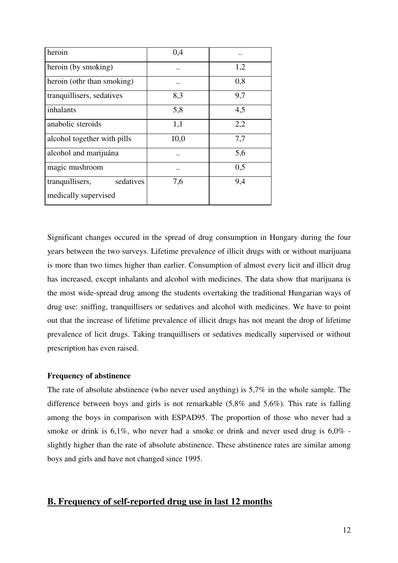| heroin                       | 0,4                  | $\ddot{\phantom{0}}$ |
|------------------------------|----------------------|----------------------|
| heroin (by smoking)          | $\ddot{\phantom{0}}$ | 1,2                  |
| heroin (othr than smoking)   |                      | 0,8                  |
| tranquillisers, sedatives    | 8,3                  | 9,7                  |
| inhalants                    | 5,8                  | 4,5                  |
| anabolic steroids            | 1,1                  | 2,2                  |
| alcohol together with pills  | 10,0                 | 7,7                  |
| alcohol and marijuána        |                      | 5,6                  |
| magic mushroom               | $\ddot{\phantom{0}}$ | 0,5                  |
| sedatives<br>tranquillisers, | 7,6                  | 9,4                  |
| medically supervised         |                      |                      |

Significant changes occured in the spread of drug consumption in Hungary during the four years between the two surveys. Lifetime prevalence of illicit drugs with or without marijuana is more than two times higher than earlier. Consumption of almost every licit and illicit drug has increased, except inhalants and alcohol with medicines. The data show that marijuana is the most wide-spread drug among the students overtaking the traditional Hungarian ways of drug use: sniffing, tranquillisers or sedatives and alcohol with medicines. We have to point out that the increase of lifetime prevalence of illicit drugs has not meant the drop of lifetime prevalence of licit drugs. Taking tranquillisers or sedatives medically supervised or without prescription has even raised.

#### **Frequency of abstinence**

The rate of absolute abstinence (who never used anything) is 5,7% in the whole sample. The difference between boys and girls is not remarkable (5,8% and 5,6%). This rate is falling among the boys in comparison with ESPAD95. The proportion of those who never had a smoke or drink is 6,1%, who never had a smoke or drink and never used drug is 6,0% slightly higher than the rate of absolute abstinence. These abstinence rates are similar among boys and girls and have not changed since 1995.

### **B. Frequency of self-reported drug use in last 12 months**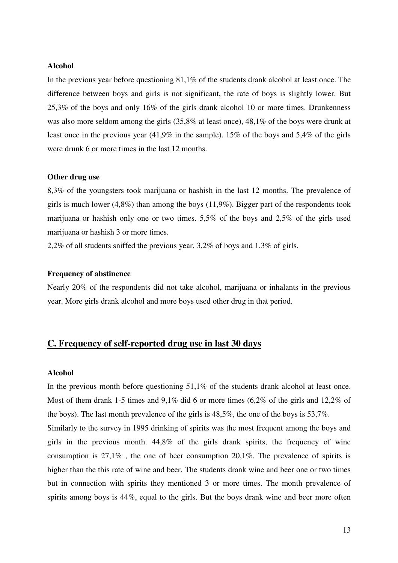#### **Alcohol**

In the previous year before questioning 81,1% of the students drank alcohol at least once. The difference between boys and girls is not significant, the rate of boys is slightly lower. But 25,3% of the boys and only 16% of the girls drank alcohol 10 or more times. Drunkenness was also more seldom among the girls (35,8% at least once), 48,1% of the boys were drunk at least once in the previous year (41,9% in the sample). 15% of the boys and 5,4% of the girls were drunk 6 or more times in the last 12 months.

#### **Other drug use**

8,3% of the youngsters took marijuana or hashish in the last 12 months. The prevalence of girls is much lower  $(4,8\%)$  than among the boys  $(11,9\%)$ . Bigger part of the respondents took marijuana or hashish only one or two times. 5,5% of the boys and 2,5% of the girls used marijuana or hashish 3 or more times.

2,2% of all students sniffed the previous year, 3,2% of boys and 1,3% of girls.

#### **Frequency of abstinence**

Nearly 20% of the respondents did not take alcohol, marijuana or inhalants in the previous year. More girls drank alcohol and more boys used other drug in that period.

### **C. Frequency of self-reported drug use in last 30 days**

#### **Alcohol**

In the previous month before questioning 51,1% of the students drank alcohol at least once. Most of them drank 1-5 times and 9,1% did 6 or more times (6,2% of the girls and 12,2% of the boys). The last month prevalence of the girls is 48,5%, the one of the boys is 53,7%. Similarly to the survey in 1995 drinking of spirits was the most frequent among the boys and girls in the previous month. 44,8% of the girls drank spirits, the frequency of wine consumption is 27,1% , the one of beer consumption 20,1%. The prevalence of spirits is higher than the this rate of wine and beer. The students drank wine and beer one or two times but in connection with spirits they mentioned 3 or more times. The month prevalence of spirits among boys is 44%, equal to the girls. But the boys drank wine and beer more often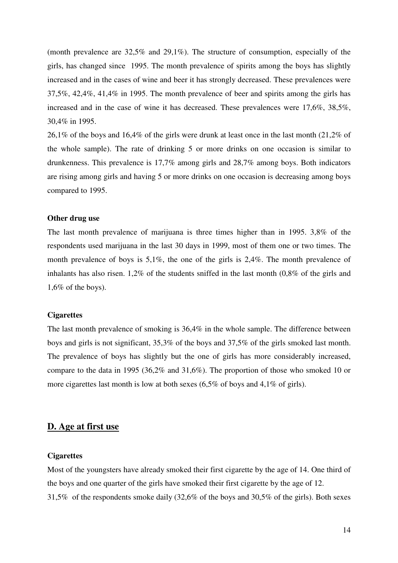(month prevalence are 32,5% and 29,1%). The structure of consumption, especially of the girls, has changed since 1995. The month prevalence of spirits among the boys has slightly increased and in the cases of wine and beer it has strongly decreased. These prevalences were 37,5%, 42,4%, 41,4% in 1995. The month prevalence of beer and spirits among the girls has increased and in the case of wine it has decreased. These prevalences were 17,6%, 38,5%, 30,4% in 1995.

26,1% of the boys and 16,4% of the girls were drunk at least once in the last month (21,2% of the whole sample). The rate of drinking 5 or more drinks on one occasion is similar to drunkenness. This prevalence is 17,7% among girls and 28,7% among boys. Both indicators are rising among girls and having 5 or more drinks on one occasion is decreasing among boys compared to 1995.

#### **Other drug use**

The last month prevalence of marijuana is three times higher than in 1995. 3,8% of the respondents used marijuana in the last 30 days in 1999, most of them one or two times. The month prevalence of boys is 5,1%, the one of the girls is 2,4%. The month prevalence of inhalants has also risen. 1,2% of the students sniffed in the last month (0,8% of the girls and 1,6% of the boys).

#### **Cigarettes**

The last month prevalence of smoking is 36,4% in the whole sample. The difference between boys and girls is not significant, 35,3% of the boys and 37,5% of the girls smoked last month. The prevalence of boys has slightly but the one of girls has more considerably increased, compare to the data in 1995 (36,2% and 31,6%). The proportion of those who smoked 10 or more cigarettes last month is low at both sexes (6,5% of boys and 4,1% of girls).

#### **D. Age at first use**

#### **Cigarettes**

Most of the youngsters have already smoked their first cigarette by the age of 14. One third of the boys and one quarter of the girls have smoked their first cigarette by the age of 12. 31,5% of the respondents smoke daily (32,6% of the boys and 30,5% of the girls). Both sexes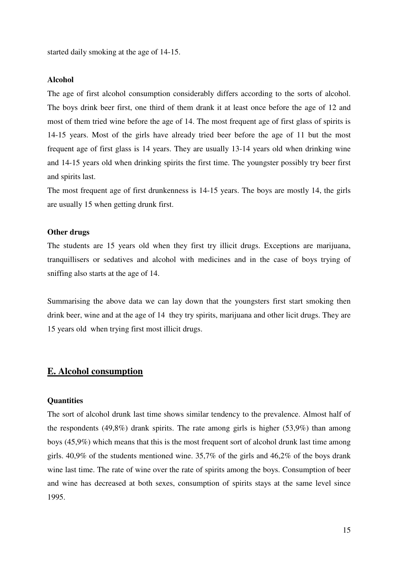started daily smoking at the age of 14-15.

#### **Alcohol**

The age of first alcohol consumption considerably differs according to the sorts of alcohol. The boys drink beer first, one third of them drank it at least once before the age of 12 and most of them tried wine before the age of 14. The most frequent age of first glass of spirits is 14-15 years. Most of the girls have already tried beer before the age of 11 but the most frequent age of first glass is 14 years. They are usually 13-14 years old when drinking wine and 14-15 years old when drinking spirits the first time. The youngster possibly try beer first and spirits last.

The most frequent age of first drunkenness is 14-15 years. The boys are mostly 14, the girls are usually 15 when getting drunk first.

#### **Other drugs**

The students are 15 years old when they first try illicit drugs. Exceptions are marijuana, tranquillisers or sedatives and alcohol with medicines and in the case of boys trying of sniffing also starts at the age of 14.

Summarising the above data we can lay down that the youngsters first start smoking then drink beer, wine and at the age of 14 they try spirits, marijuana and other licit drugs. They are 15 years old when trying first most illicit drugs.

### **E. Alcohol consumption**

#### **Quantities**

The sort of alcohol drunk last time shows similar tendency to the prevalence. Almost half of the respondents  $(49,8\%)$  drank spirits. The rate among girls is higher  $(53,9\%)$  than among boys (45,9%) which means that this is the most frequent sort of alcohol drunk last time among girls. 40,9% of the students mentioned wine. 35,7% of the girls and 46,2% of the boys drank wine last time. The rate of wine over the rate of spirits among the boys. Consumption of beer and wine has decreased at both sexes, consumption of spirits stays at the same level since 1995.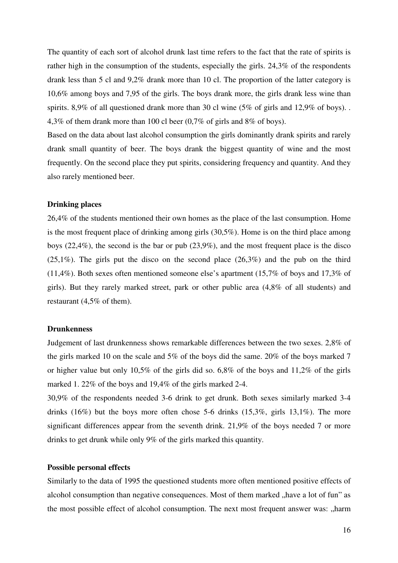The quantity of each sort of alcohol drunk last time refers to the fact that the rate of spirits is rather high in the consumption of the students, especially the girls. 24,3% of the respondents drank less than 5 cl and 9,2% drank more than 10 cl. The proportion of the latter category is 10,6% among boys and 7,95 of the girls. The boys drank more, the girls drank less wine than spirits. 8,9% of all questioned drank more than 30 cl wine (5% of girls and 12,9% of boys).. 4,3% of them drank more than 100 cl beer (0,7% of girls and 8% of boys).

Based on the data about last alcohol consumption the girls dominantly drank spirits and rarely drank small quantity of beer. The boys drank the biggest quantity of wine and the most frequently. On the second place they put spirits, considering frequency and quantity. And they also rarely mentioned beer.

#### **Drinking places**

26,4% of the students mentioned their own homes as the place of the last consumption. Home is the most frequent place of drinking among girls (30,5%). Home is on the third place among boys (22,4%), the second is the bar or pub (23,9%), and the most frequent place is the disco  $(25,1\%)$ . The girls put the disco on the second place  $(26,3\%)$  and the pub on the third (11,4%). Both sexes often mentioned someone else's apartment (15,7% of boys and 17,3% of girls). But they rarely marked street, park or other public area (4,8% of all students) and restaurant (4,5% of them).

#### **Drunkenness**

Judgement of last drunkenness shows remarkable differences between the two sexes. 2,8% of the girls marked 10 on the scale and 5% of the boys did the same. 20% of the boys marked 7 or higher value but only 10,5% of the girls did so. 6,8% of the boys and 11,2% of the girls marked 1. 22% of the boys and 19,4% of the girls marked 2-4.

30,9% of the respondents needed 3-6 drink to get drunk. Both sexes similarly marked 3-4 drinks  $(16\%)$  but the boys more often chose 5-6 drinks  $(15,3\%)$ , girls  $13,1\%$ ). The more significant differences appear from the seventh drink. 21,9% of the boys needed 7 or more drinks to get drunk while only 9% of the girls marked this quantity.

#### **Possible personal effects**

Similarly to the data of 1995 the questioned students more often mentioned positive effects of alcohol consumption than negative consequences. Most of them marked "have a lot of fun" as the most possible effect of alcohol consumption. The next most frequent answer was: "harm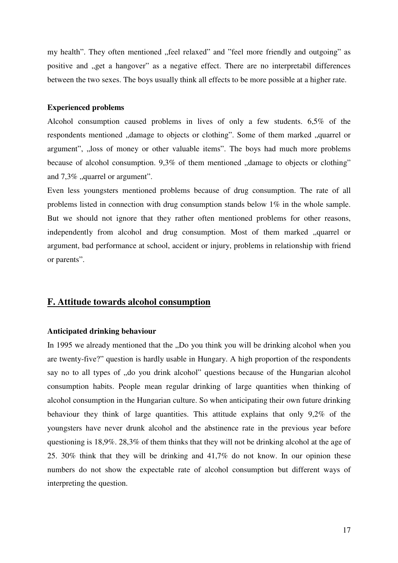my health". They often mentioned "feel relaxed" and "feel more friendly and outgoing" as positive and "get a hangover" as a negative effect. There are no interpretabil differences between the two sexes. The boys usually think all effects to be more possible at a higher rate.

#### **Experienced problems**

Alcohol consumption caused problems in lives of only a few students. 6,5% of the respondents mentioned ,,damage to objects or clothing". Some of them marked ,,quarrel or argument", "loss of money or other valuable items". The boys had much more problems because of alcohol consumption.  $9,3\%$  of them mentioned  $\alpha$ , damage to objects or clothing" and  $7,3\%$ , quarrel or argument".

Even less youngsters mentioned problems because of drug consumption. The rate of all problems listed in connection with drug consumption stands below  $1\%$  in the whole sample. But we should not ignore that they rather often mentioned problems for other reasons, independently from alcohol and drug consumption. Most of them marked "quarrel or argument, bad performance at school, accident or injury, problems in relationship with friend or parents".

### **F. Attitude towards alcohol consumption**

#### **Anticipated drinking behaviour**

In 1995 we already mentioned that the "Do you think you will be drinking alcohol when you are twenty-five?" question is hardly usable in Hungary. A high proportion of the respondents say no to all types of "do you drink alcohol" questions because of the Hungarian alcohol consumption habits. People mean regular drinking of large quantities when thinking of alcohol consumption in the Hungarian culture. So when anticipating their own future drinking behaviour they think of large quantities. This attitude explains that only 9,2% of the youngsters have never drunk alcohol and the abstinence rate in the previous year before questioning is 18,9%. 28,3% of them thinks that they will not be drinking alcohol at the age of 25. 30% think that they will be drinking and 41,7% do not know. In our opinion these numbers do not show the expectable rate of alcohol consumption but different ways of interpreting the question.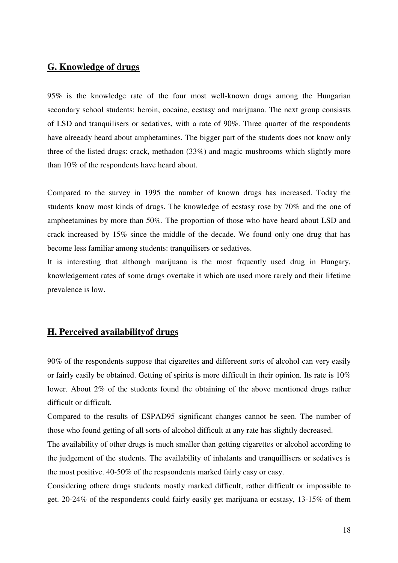### **G. Knowledge of drugs**

95% is the knowledge rate of the four most well-known drugs among the Hungarian secondary school students: heroin, cocaine, ecstasy and marijuana. The next group consissts of LSD and tranquilisers or sedatives, with a rate of 90%. Three quarter of the respondents have alreeady heard about amphetamines. The bigger part of the students does not know only three of the listed drugs: crack, methadon (33%) and magic mushrooms which slightly more than 10% of the respondents have heard about.

Compared to the survey in 1995 the number of known drugs has increased. Today the students know most kinds of drugs. The knowledge of ecstasy rose by 70% and the one of ampheetamines by more than 50%. The proportion of those who have heard about LSD and crack increased by 15% since the middle of the decade. We found only one drug that has become less familiar among students: tranquilisers or sedatives.

It is interesting that although marijuana is the most frquently used drug in Hungary, knowledgement rates of some drugs overtake it which are used more rarely and their lifetime prevalence is low.

### **H. Perceived availabilityof drugs**

90% of the respondents suppose that cigarettes and differeent sorts of alcohol can very easily or fairly easily be obtained. Getting of spirits is more difficult in their opinion. Its rate is 10% lower. About 2% of the students found the obtaining of the above mentioned drugs rather difficult or difficult.

Compared to the results of ESPAD95 significant changes cannot be seen. The number of those who found getting of all sorts of alcohol difficult at any rate has slightly decreased.

The availability of other drugs is much smaller than getting cigarettes or alcohol according to the judgement of the students. The availability of inhalants and tranquillisers or sedatives is the most positive. 40-50% of the respsondents marked fairly easy or easy.

Considering othere drugs students mostly marked difficult, rather difficult or impossible to get. 20-24% of the respondents could fairly easily get marijuana or ecstasy, 13-15% of them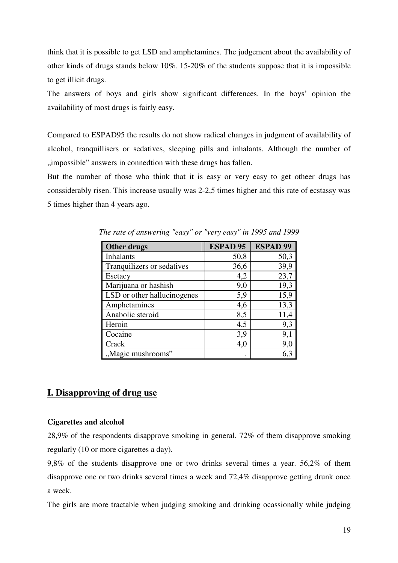think that it is possible to get LSD and amphetamines. The judgement about the availability of other kinds of drugs stands below 10%. 15-20% of the students suppose that it is impossible to get illicit drugs.

The answers of boys and girls show significant differences. In the boys' opinion the availability of most drugs is fairly easy.

Compared to ESPAD95 the results do not show radical changes in judgment of availability of alcohol, tranquillisers or sedatives, sleeping pills and inhalants. Although the number of "impossible" answers in connedtion with these drugs has fallen.

But the number of those who think that it is easy or very easy to get otheer drugs has conssiderably risen. This increase usually was 2-2,5 times higher and this rate of ecstassy was 5 times higher than 4 years ago.

| Other drugs                 | <b>ESPAD 95</b> | <b>ESPAD 99</b> |
|-----------------------------|-----------------|-----------------|
| <b>Inhalants</b>            | 50,8            | 50,3            |
| Tranquilizers or sedatives  | 36,6            | 39,9            |
| Esctacy                     | 4,2             | 23,7            |
| Marijuana or hashish        | 9,0             | 19,3            |
| LSD or other hallucinogenes | 5,9             | 15,9            |
| Amphetamines                | 4,6             | 13,3            |
| Anabolic steroid            | 8,5             | 11,4            |
| Heroin                      | 4,5             | 9,3             |
| Cocaine                     | 3,9             | 9,1             |
| Crack                       | 4,0             | 9,0             |
| "Magic mushrooms"           |                 | 6.3             |

*The rate of answering "easy" or "very easy" in 1995 and 1999* 

## **I. Disapproving of drug use**

### **Cigarettes and alcohol**

28,9% of the respondents disapprove smoking in general, 72% of them disapprove smoking regularly (10 or more cigarettes a day).

9,8% of the students disapprove one or two drinks several times a year. 56,2% of them disapprove one or two drinks several times a week and 72,4% disapprove getting drunk once a week.

The girls are more tractable when judging smoking and drinking ocassionally while judging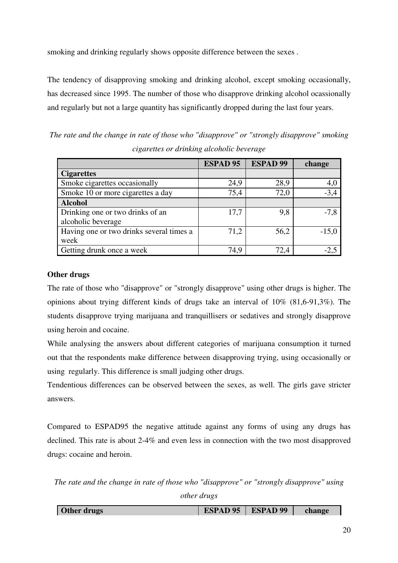smoking and drinking regularly shows opposite difference between the sexes .

The tendency of disapproving smoking and drinking alcohol, except smoking occasionally, has decreased since 1995. The number of those who disapprove drinking alcohol ocassionally and regularly but not a large quantity has significantly dropped during the last four years.

*The rate and the change in rate of those who "disapprove" or "strongly disapprove" smoking cigarettes or drinking alcoholic beverage* 

|                                          | <b>ESPAD 95</b> | <b>ESPAD 99</b> | change  |
|------------------------------------------|-----------------|-----------------|---------|
| <b>Cigarettes</b>                        |                 |                 |         |
| Smoke cigarettes occasionally            | 24,9            | 28,9            | 4,0     |
| Smoke 10 or more cigarettes a day        | 75,4            | 72,0            | $-3,4$  |
| <b>Alcohol</b>                           |                 |                 |         |
| Drinking one or two drinks of an         | 17,7            | 9,8             | $-7,8$  |
| alcoholic beverage                       |                 |                 |         |
| Having one or two drinks several times a | 71,2            | 56,2            | $-15.0$ |
| week                                     |                 |                 |         |
| Getting drunk once a week                | 74,9            | 72,4            |         |

### **Other drugs**

The rate of those who "disapprove" or "strongly disapprove" using other drugs is higher. The opinions about trying different kinds of drugs take an interval of 10% (81,6-91,3%). The students disapprove trying marijuana and tranquillisers or sedatives and strongly disapprove using heroin and cocaine.

While analysing the answers about different categories of marijuana consumption it turned out that the respondents make difference between disapproving trying, using occasionally or using regularly. This difference is small judging other drugs.

Tendentious differences can be observed between the sexes, as well. The girls gave stricter answers.

Compared to ESPAD95 the negative attitude against any forms of using any drugs has declined. This rate is about 2-4% and even less in connection with the two most disapproved drugs: cocaine and heroin.

*The rate and the change in rate of those who "disapprove" or "strongly disapprove" using other drugs*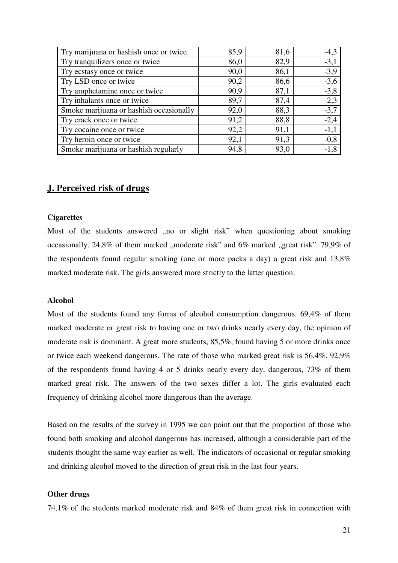| Try marijuana or hashish once or twice  | 85,9 | 81,6 | $-4,3$ |
|-----------------------------------------|------|------|--------|
| Try tranquilizers once or twice         | 86,0 | 82,9 | $-3,1$ |
| Try ecstasy once or twice               | 90,0 | 86,1 | $-3,9$ |
| Try LSD once or twice                   | 90,2 | 86,6 | $-3,6$ |
| Try amphetamine once or twice           | 90,9 | 87,1 | $-3,8$ |
| Try inhalants once or twice             | 89,7 | 87,4 | $-2,3$ |
| Smoke marijuana or hashish occasionally | 92,0 | 88,3 | $-3,7$ |
| Try crack once or twice                 | 91,2 | 88,8 | $-2,4$ |
| Try cocaine once or twice               | 92,2 | 91,1 | $-1,1$ |
| Try heroin once or twice                | 92,1 | 91,3 | $-0,8$ |
| Smoke marijuana or hashish regularly    | 94,8 | 93,0 | $-1,8$ |

### **J. Perceived risk of drugs**

#### **Cigarettes**

Most of the students answered ,,no or slight risk" when questioning about smoking occasionally. 24,8% of them marked "moderate risk" and  $6\%$  marked "great risk". 79,9% of the respondents found regular smoking (one or more packs a day) a great risk and 13,8% marked moderate risk. The girls answered more strictly to the latter question.

#### **Alcohol**

Most of the students found any forms of alcohol consumption dangerous. 69,4% of them marked moderate or great risk to having one or two drinks nearly every day, the opinion of moderate risk is dominant. A great more students, 85,5%, found having 5 or more drinks once or twice each weekend dangerous. The rate of those who marked great risk is 56,4%. 92,9% of the respondents found having 4 or 5 drinks nearly every day, dangerous, 73% of them marked great risk. The answers of the two sexes differ a lot. The girls evaluated each frequency of drinking alcohol more dangerous than the average.

Based on the results of the survey in 1995 we can point out that the proportion of those who found both smoking and alcohol dangerous has increased, although a considerable part of the students thought the same way earlier as well. The indicators of occasional or regular smoking and drinking alcohol moved to the direction of great risk in the last four years.

#### **Other drugs**

74,1% of the students marked moderate risk and 84% of them great risk in connection with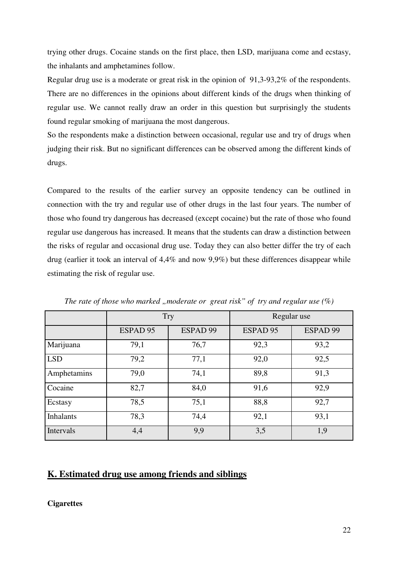trying other drugs. Cocaine stands on the first place, then LSD, marijuana come and ecstasy, the inhalants and amphetamines follow.

Regular drug use is a moderate or great risk in the opinion of 91,3-93,2% of the respondents. There are no differences in the opinions about different kinds of the drugs when thinking of regular use. We cannot really draw an order in this question but surprisingly the students found regular smoking of marijuana the most dangerous.

So the respondents make a distinction between occasional, regular use and try of drugs when judging their risk. But no significant differences can be observed among the different kinds of drugs.

Compared to the results of the earlier survey an opposite tendency can be outlined in connection with the try and regular use of other drugs in the last four years. The number of those who found try dangerous has decreased (except cocaine) but the rate of those who found regular use dangerous has increased. It means that the students can draw a distinction between the risks of regular and occasional drug use. Today they can also better differ the try of each drug (earlier it took an interval of 4,4% and now 9,9%) but these differences disappear while estimating the risk of regular use.

|                  | <b>Try</b> |          | Regular use |          |
|------------------|------------|----------|-------------|----------|
|                  | ESPAD 95   | ESPAD 99 | ESPAD 95    | ESPAD 99 |
| Marijuana        | 79,1       | 76,7     | 92,3        | 93,2     |
| <b>LSD</b>       | 79,2       | 77,1     | 92,0        | 92,5     |
| Amphetamins      | 79,0       | 74,1     | 89,8        | 91,3     |
| Cocaine          | 82,7       | 84,0     | 91,6        | 92,9     |
| Ecstasy          | 78,5       | 75,1     | 88,8        | 92,7     |
| <b>Inhalants</b> | 78,3       | 74,4     | 92,1        | 93,1     |
| Intervals        | 4,4        | 9,9      | 3,5         | 1,9      |

*The rate of those who marked , moderate or great risk" of try and regular use*  $(\%)$ 

### **K. Estimated drug use among friends and siblings**

**Cigarettes**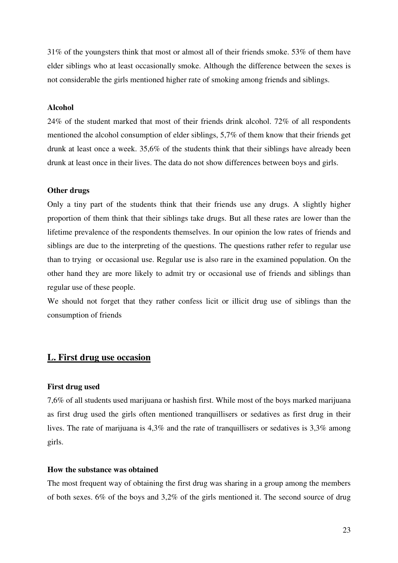31% of the youngsters think that most or almost all of their friends smoke. 53% of them have elder siblings who at least occasionally smoke. Although the difference between the sexes is not considerable the girls mentioned higher rate of smoking among friends and siblings.

#### **Alcohol**

24% of the student marked that most of their friends drink alcohol. 72% of all respondents mentioned the alcohol consumption of elder siblings, 5,7% of them know that their friends get drunk at least once a week. 35,6% of the students think that their siblings have already been drunk at least once in their lives. The data do not show differences between boys and girls.

#### **Other drugs**

Only a tiny part of the students think that their friends use any drugs. A slightly higher proportion of them think that their siblings take drugs. But all these rates are lower than the lifetime prevalence of the respondents themselves. In our opinion the low rates of friends and siblings are due to the interpreting of the questions. The questions rather refer to regular use than to trying or occasional use. Regular use is also rare in the examined population. On the other hand they are more likely to admit try or occasional use of friends and siblings than regular use of these people.

We should not forget that they rather confess licit or illicit drug use of siblings than the consumption of friends

### **L. First drug use occasion**

#### **First drug used**

7,6% of all students used marijuana or hashish first. While most of the boys marked marijuana as first drug used the girls often mentioned tranquillisers or sedatives as first drug in their lives. The rate of marijuana is 4,3% and the rate of tranquillisers or sedatives is 3,3% among girls.

#### **How the substance was obtained**

The most frequent way of obtaining the first drug was sharing in a group among the members of both sexes. 6% of the boys and 3,2% of the girls mentioned it. The second source of drug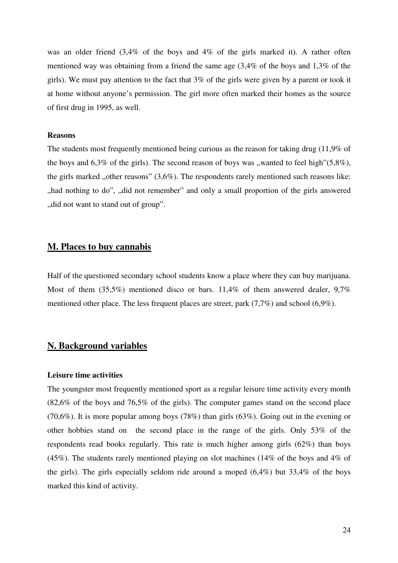was an older friend (3,4% of the boys and 4% of the girls marked it). A rather often mentioned way was obtaining from a friend the same age (3,4% of the boys and 1,3% of the girls). We must pay attention to the fact that 3% of the girls were given by a parent or took it at home without anyone's permission. The girl more often marked their homes as the source of first drug in 1995, as well.

#### **Reasons**

The students most frequently mentioned being curious as the reason for taking drug (11,9% of the boys and  $6,3\%$  of the girls). The second reason of boys was "wanted to feel high" $(5,8\%)$ , the girls marked "other reasons"  $(3.6\%)$ . The respondents rarely mentioned such reasons like: ", had nothing to do", ", did not remember" and only a small proportion of the girls answered ", did not want to stand out of group".

### **M. Places to buy cannabis**

Half of the questioned secondary school students know a place where they can buy marijuana. Most of them (35,5%) mentioned disco or bars. 11,4% of them answered dealer, 9,7% mentioned other place. The less frequent places are street, park (7,7%) and school (6,9%).

### **N. Background variables**

#### **Leisure time activities**

The youngster most frequently mentioned sport as a regular leisure time activity every month (82,6% of the boys and 76,5% of the girls). The computer games stand on the second place (70,6%). It is more popular among boys (78%) than girls (63%). Going out in the evening or other hobbies stand on the second place in the range of the girls. Only 53% of the respondents read books regularly. This rate is much higher among girls (62%) than boys (45%). The students rarely mentioned playing on slot machines (14% of the boys and 4% of the girls). The girls especially seldom ride around a moped  $(6,4\%)$  but 33,4% of the boys marked this kind of activity.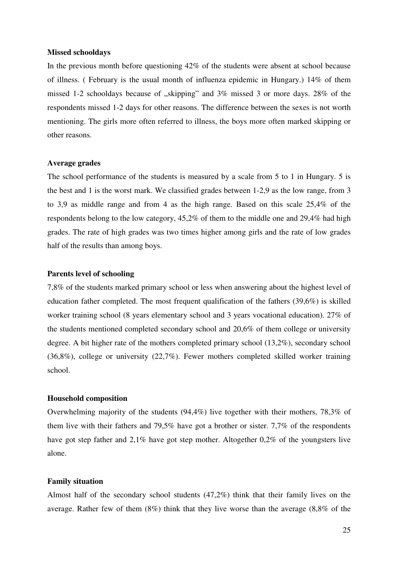#### **Missed schooldays**

In the previous month before questioning 42% of the students were absent at school because of illness. ( February is the usual month of influenza epidemic in Hungary.) 14% of them missed 1-2 schooldays because of  $\mu$ , skipping" and 3% missed 3 or more days. 28% of the respondents missed 1-2 days for other reasons. The difference between the sexes is not worth mentioning. The girls more often referred to illness, the boys more often marked skipping or other reasons.

#### **Average grades**

The school performance of the students is measured by a scale from 5 to 1 in Hungary. 5 is the best and 1 is the worst mark. We classified grades between 1-2,9 as the low range, from 3 to 3,9 as middle range and from 4 as the high range. Based on this scale 25,4% of the respondents belong to the low category, 45,2% of them to the middle one and 29,4% had high grades. The rate of high grades was two times higher among girls and the rate of low grades half of the results than among boys.

#### **Parents level of schooling**

7,8% of the students marked primary school or less when answering about the highest level of education father completed. The most frequent qualification of the fathers (39,6%) is skilled worker training school (8 years elementary school and 3 years vocational education). 27% of the students mentioned completed secondary school and 20,6% of them college or university degree. A bit higher rate of the mothers completed primary school (13,2%), secondary school (36,8%), college or university (22,7%). Fewer mothers completed skilled worker training school.

#### **Household composition**

Overwhelming majority of the students (94,4%) live together with their mothers, 78,3% of them live with their fathers and 79,5% have got a brother or sister. 7,7% of the respondents have got step father and 2,1% have got step mother. Altogether 0,2% of the youngsters live alone.

#### **Family situation**

Almost half of the secondary school students (47,2%) think that their family lives on the average. Rather few of them (8%) think that they live worse than the average (8,8% of the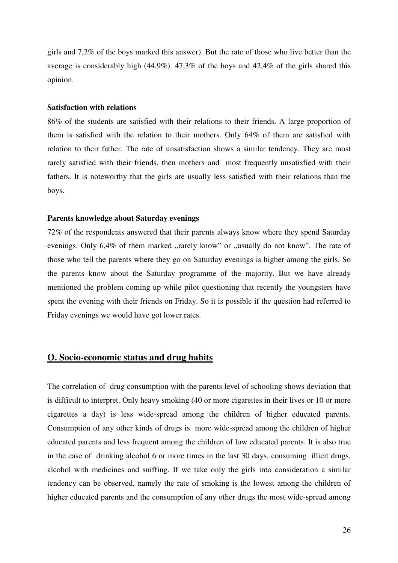girls and 7,2% of the boys marked this answer). But the rate of those who live better than the average is considerably high (44,9%). 47,3% of the boys and 42,4% of the girls shared this opinion.

#### **Satisfaction with relations**

86% of the students are satisfied with their relations to their friends. A large proportion of them is satisfied with the relation to their mothers. Only 64% of them are satisfied with relation to their father. The rate of unsatisfaction shows a similar tendency. They are most rarely satisfied with their friends, then mothers and most frequently unsatisfied with their fathers. It is noteworthy that the girls are usually less satisfied with their relations than the boys.

#### **Parents knowledge about Saturday evenings**

72% of the respondents answered that their parents always know where they spend Saturday evenings. Only  $6.4\%$  of them marked "rarely know" or "usually do not know". The rate of those who tell the parents where they go on Saturday evenings is higher among the girls. So the parents know about the Saturday programme of the majority. But we have already mentioned the problem coming up while pilot questioning that recently the youngsters have spent the evening with their friends on Friday. So it is possible if the question had referred to Friday evenings we would have got lower rates.

### **O. Socio-economic status and drug habits**

The correlation of drug consumption with the parents level of schooling shows deviation that is difficult to interpret. Only heavy smoking (40 or more cigarettes in their lives or 10 or more cigarettes a day) is less wide-spread among the children of higher educated parents. Consumption of any other kinds of drugs is more wide-spread among the children of higher educated parents and less frequent among the children of low educated parents. It is also true in the case of drinking alcohol 6 or more times in the last 30 days, consuming illicit drugs, alcohol with medicines and sniffing. If we take only the girls into consideration a similar tendency can be observed, namely the rate of smoking is the lowest among the children of higher educated parents and the consumption of any other drugs the most wide-spread among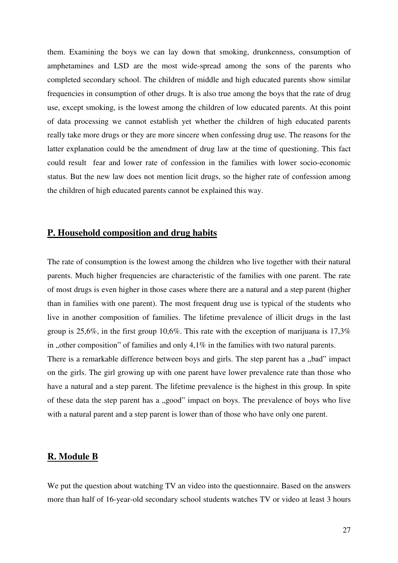them. Examining the boys we can lay down that smoking, drunkenness, consumption of amphetamines and LSD are the most wide-spread among the sons of the parents who completed secondary school. The children of middle and high educated parents show similar frequencies in consumption of other drugs. It is also true among the boys that the rate of drug use, except smoking, is the lowest among the children of low educated parents. At this point of data processing we cannot establish yet whether the children of high educated parents really take more drugs or they are more sincere when confessing drug use. The reasons for the latter explanation could be the amendment of drug law at the time of questioning. This fact could result fear and lower rate of confession in the families with lower socio-economic status. But the new law does not mention licit drugs, so the higher rate of confession among the children of high educated parents cannot be explained this way.

### **P. Household composition and drug habits**

The rate of consumption is the lowest among the children who live together with their natural parents. Much higher frequencies are characteristic of the families with one parent. The rate of most drugs is even higher in those cases where there are a natural and a step parent (higher than in families with one parent). The most frequent drug use is typical of the students who live in another composition of families. The lifetime prevalence of illicit drugs in the last group is 25,6%, in the first group 10,6%. This rate with the exception of marijuana is 17,3% in , other composition" of families and only  $4.1\%$  in the families with two natural parents.

There is a remarkable difference between boys and girls. The step parent has a "bad" impact on the girls. The girl growing up with one parent have lower prevalence rate than those who have a natural and a step parent. The lifetime prevalence is the highest in this group. In spite of these data the step parent has a "good" impact on boys. The prevalence of boys who live with a natural parent and a step parent is lower than of those who have only one parent.

### **R. Module B**

We put the question about watching TV an video into the questionnaire. Based on the answers more than half of 16-year-old secondary school students watches TV or video at least 3 hours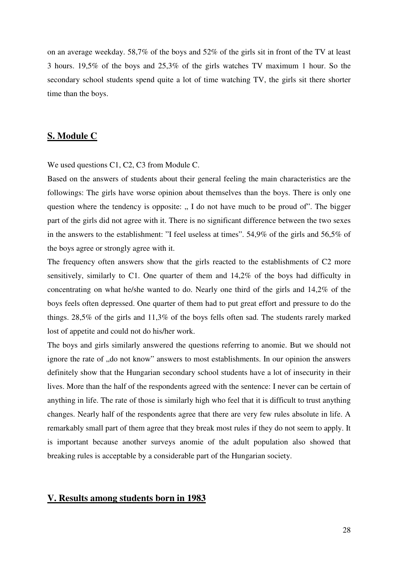on an average weekday. 58,7% of the boys and 52% of the girls sit in front of the TV at least 3 hours. 19,5% of the boys and 25,3% of the girls watches TV maximum 1 hour. So the secondary school students spend quite a lot of time watching TV, the girls sit there shorter time than the boys.

### **S. Module C**

We used questions C1, C2, C3 from Module C.

Based on the answers of students about their general feeling the main characteristics are the followings: The girls have worse opinion about themselves than the boys. There is only one question where the tendency is opposite:  $\alpha$ , I do not have much to be proud of". The bigger part of the girls did not agree with it. There is no significant difference between the two sexes in the answers to the establishment: "I feel useless at times". 54,9% of the girls and 56,5% of the boys agree or strongly agree with it.

The frequency often answers show that the girls reacted to the establishments of C2 more sensitively, similarly to C1. One quarter of them and 14,2% of the boys had difficulty in concentrating on what he/she wanted to do. Nearly one third of the girls and 14,2% of the boys feels often depressed. One quarter of them had to put great effort and pressure to do the things. 28,5% of the girls and 11,3% of the boys fells often sad. The students rarely marked lost of appetite and could not do his/her work.

The boys and girls similarly answered the questions referring to anomie. But we should not ignore the rate of ", do not know" answers to most establishments. In our opinion the answers definitely show that the Hungarian secondary school students have a lot of insecurity in their lives. More than the half of the respondents agreed with the sentence: I never can be certain of anything in life. The rate of those is similarly high who feel that it is difficult to trust anything changes. Nearly half of the respondents agree that there are very few rules absolute in life. A remarkably small part of them agree that they break most rules if they do not seem to apply. It is important because another surveys anomie of the adult population also showed that breaking rules is acceptable by a considerable part of the Hungarian society.

#### **V. Results among students born in 1983**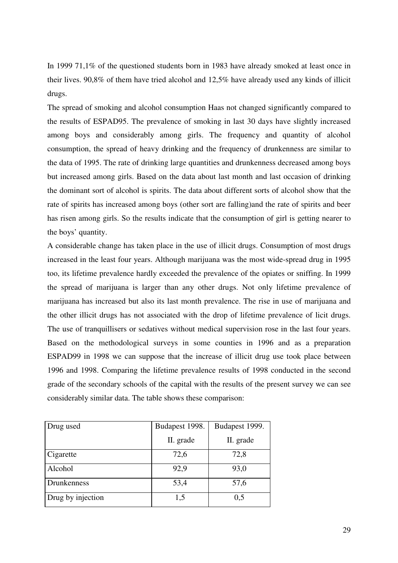In 1999 71,1% of the questioned students born in 1983 have already smoked at least once in their lives. 90,8% of them have tried alcohol and 12,5% have already used any kinds of illicit drugs.

The spread of smoking and alcohol consumption Haas not changed significantly compared to the results of ESPAD95. The prevalence of smoking in last 30 days have slightly increased among boys and considerably among girls. The frequency and quantity of alcohol consumption, the spread of heavy drinking and the frequency of drunkenness are similar to the data of 1995. The rate of drinking large quantities and drunkenness decreased among boys but increased among girls. Based on the data about last month and last occasion of drinking the dominant sort of alcohol is spirits. The data about different sorts of alcohol show that the rate of spirits has increased among boys (other sort are falling)and the rate of spirits and beer has risen among girls. So the results indicate that the consumption of girl is getting nearer to the boys' quantity.

A considerable change has taken place in the use of illicit drugs. Consumption of most drugs increased in the least four years. Although marijuana was the most wide-spread drug in 1995 too, its lifetime prevalence hardly exceeded the prevalence of the opiates or sniffing. In 1999 the spread of marijuana is larger than any other drugs. Not only lifetime prevalence of marijuana has increased but also its last month prevalence. The rise in use of marijuana and the other illicit drugs has not associated with the drop of lifetime prevalence of licit drugs. The use of tranquillisers or sedatives without medical supervision rose in the last four years. Based on the methodological surveys in some counties in 1996 and as a preparation ESPAD99 in 1998 we can suppose that the increase of illicit drug use took place between 1996 and 1998. Comparing the lifetime prevalence results of 1998 conducted in the second grade of the secondary schools of the capital with the results of the present survey we can see considerably similar data. The table shows these comparison:

| Drug used         | Budapest 1998. | Budapest 1999. |
|-------------------|----------------|----------------|
|                   | II. grade      | II. grade      |
| Cigarette         | 72,6           | 72,8           |
| Alcohol           | 92,9           | 93,0           |
| Drunkenness       | 53,4           | 57,6           |
| Drug by injection | 1,5            | 0,5            |